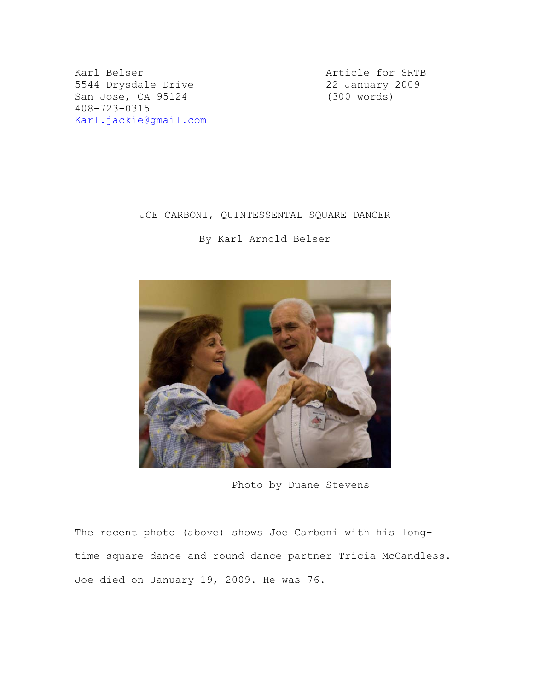Karl Belser **Article for SRTB** 5544 Drysdale Drive<br>
San Jose, CA 95124 (300 words) San Jose, CA 95124 408-723-0315 Karl.jackie@gmail.com

## JOE CARBONI, QUINTESSENTAL SQUARE DANCER

By Karl Arnold Belser



Photo by Duane Stevens

The recent photo (above) shows Joe Carboni with his longtime square dance and round dance partner Tricia McCandless. Joe died on January 19, 2009. He was 76.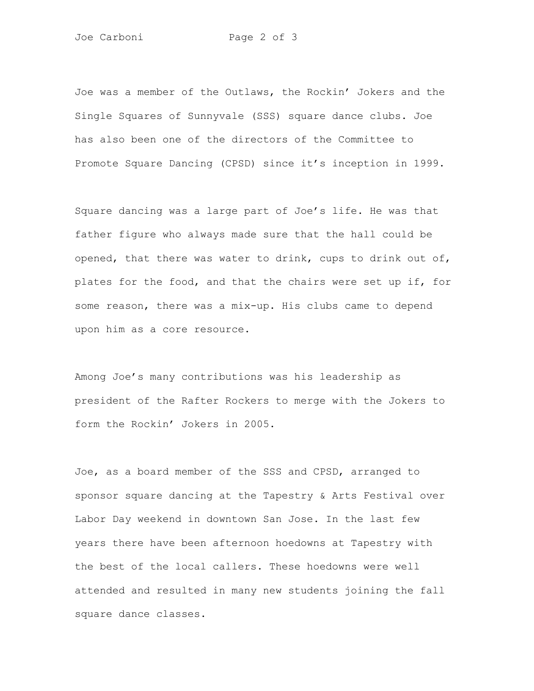Joe was a member of the Outlaws, the Rockin' Jokers and the Single Squares of Sunnyvale (SSS) square dance clubs. Joe has also been one of the directors of the Committee to Promote Square Dancing (CPSD) since it's inception in 1999.

Square dancing was a large part of Joe's life. He was that father figure who always made sure that the hall could be opened, that there was water to drink, cups to drink out of, plates for the food, and that the chairs were set up if, for some reason, there was a mix-up. His clubs came to depend upon him as a core resource.

Among Joe's many contributions was his leadership as president of the Rafter Rockers to merge with the Jokers to form the Rockin' Jokers in 2005.

Joe, as a board member of the SSS and CPSD, arranged to sponsor square dancing at the Tapestry & Arts Festival over Labor Day weekend in downtown San Jose. In the last few years there have been afternoon hoedowns at Tapestry with the best of the local callers. These hoedowns were well attended and resulted in many new students joining the fall square dance classes.